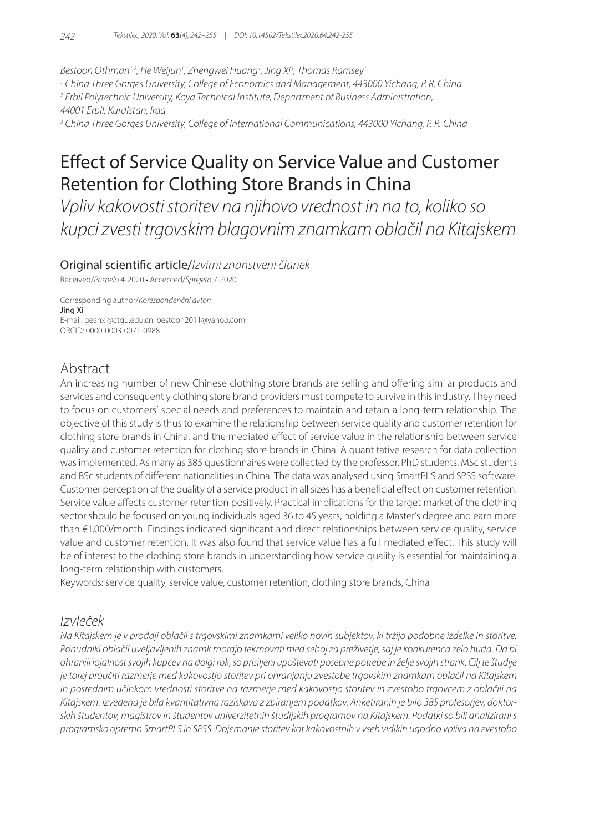*Bestoon Othman1,2, He Weijun1 , Zhengwei Huang1 , Jing Xi3 , Thomas Ramsey1*

*1 China Three Gorges University, College of Economics and Management, 443000 Yichang, P. R. China*

*2 Erbil Polytechnic University, Koya Technical Institute, Department of Business Administration,* 

*44001 Erbil, Kurdistan, Iraq*

*3 China Three Gorges University, College of International Communications, 443000 Yichang, P. R. China*

# Effect of Service Quality on Service Value and Customer Retention for Clothing Store Brands in China

*Vpliv kakovosti storitev na njihovo vrednost in na to, koliko so kupci zvesti trgovskim blagovnim znamkam oblačil na Kitajskem*

### Original scientific article/*Izvirni znanstveni članek*

Received/*Prispelo* 4-2020 • Accepted/*Sprejeto* 7-2020

Corresponding author/*Korespondenčni avtor:* Jing Xi E-mail: geanxi@ctgu.edu.cn, bestoon2011@yahoo.com ORCID: 0000-0003-0071-0988

### Abstract

An increasing number of new Chinese clothing store brands are selling and offering similar products and services and consequently clothing store brand providers must compete to survive in this industry. They need to focus on customers' special needs and preferences to maintain and retain a long-term relationship. The objective of this study is thus to examine the relationship between service quality and customer retention for clothing store brands in China, and the mediated effect of service value in the relationship between service quality and customer retention for clothing store brands in China. A quantitative research for data collection was implemented. As many as 385 questionnaires were collected by the professor, PhD students, MSc students and BSc students of different nationalities in China. The data was analysed using SmartPLS and SPSS software. Customer perception of the quality of a service product in all sizes has a beneficial effect on customer retention. Service value affects customer retention positively. Practical implications for the target market of the clothing sector should be focused on young individuals aged 36 to 45 years, holding a Master's degree and earn more than €1,000/month. Findings indicated significant and direct relationships between service quality, service value and customer retention. It was also found that service value has a full mediated effect. This study will be of interest to the clothing store brands in understanding how service quality is essential for maintaining a long-term relationship with customers.

Keywords: service quality, service value, customer retention, clothing store brands, China

# *Izvleček*

*Na Kitajskem je v prodaji oblačil s trgovskimi znamkami veliko novih subjektov, ki tržijo podobne izdelke in storitve. Ponudniki oblačil uveljavljenih znamk morajo tekmovati med seboj za preživetje, saj je konkurenca zelo huda. Da bi ohranili lojalnost svojih kupcev na dolgi rok, so prisiljeni upoštevati posebne potrebe in želje svojih strank. Cilj te študije je torej proučiti razmerje med kakovostjo storitev pri ohranjanju zvestobe trgovskim znamkam oblačil na Kitajskem in posrednim učinkom vrednosti storitve na razmerje med kakovostjo storitev in zvestobo trgovcem z oblačili na Kitajskem. Izvedena je bila kvantitativna raziskava z zbiranjem podatkov. Anketiranih je bilo 385 profesorjev, doktorskih študentov, magistrov in študentov univerzitetnih študijskih programov na Kitajskem. Podatki so bili analizirani s programsko opremo SmartPLS in SPSS. Dojemanje storitev kot kakovostnih v vseh vidikih ugodno vpliva na zvestobo*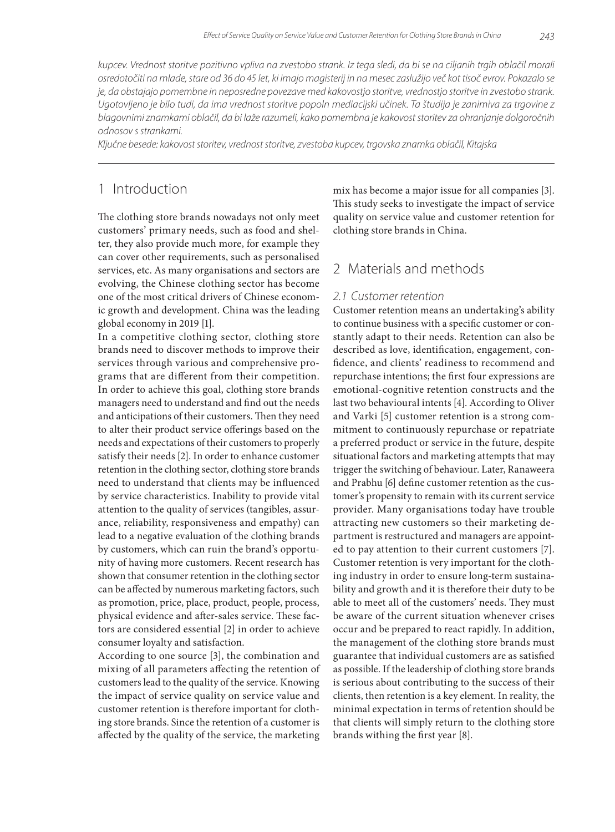*kupcev. Vrednost storitve pozitivno vpliva na zvestobo strank. Iz tega sledi, da bi se na ciljanih trgih oblačil morali osredotočiti na mlade, stare od 36 do 45 let, ki imajo magisterij in na mesec zaslužijo več kot tisoč evrov. Pokazalo se je, da obstajajo pomembne in neposredne povezave med kakovostjo storitve, vrednostjo storitve in zvestobo strank.*  Ugotovljeno je bilo tudi, da ima vrednost storitve popoln mediacijski učinek. Ta študija je zanimiva za trgovine z *blagovnimi znamkami oblačil, da bi laže razumeli, kako pomembna je kakovost storitev za ohranjanje dolgoročnih odnosov s strankami.*

*Ključne besede: kakovost storitev, vrednost storitve, zvestoba kupcev, trgovska znamka oblačil, Kitajska*

# 1 Introduction

The clothing store brands nowadays not only meet customers' primary needs, such as food and shelter, they also provide much more, for example they can cover other requirements, such as personalised services, etc. As many organisations and sectors are evolving, the Chinese clothing sector has become one of the most critical drivers of Chinese economic growth and development. China was the leading global economy in 2019 [1].

In a competitive clothing sector, clothing store brands need to discover methods to improve their services through various and comprehensive programs that are different from their competition. In order to achieve this goal, clothing store brands managers need to understand and find out the needs and anticipations of their customers. Then they need to alter their product service offerings based on the needs and expectations of their customers to properly satisfy their needs [2]. In order to enhance customer retention in the clothing sector, clothing store brands need to understand that clients may be influenced by service characteristics. Inability to provide vital attention to the quality of services (tangibles, assurance, reliability, responsiveness and empathy) can lead to a negative evaluation of the clothing brands by customers, which can ruin the brand's opportunity of having more customers. Recent research has shown that consumer retention in the clothing sector can be affected by numerous marketing factors, such as promotion, price, place, product, people, process, physical evidence and after-sales service. These factors are considered essential [2] in order to achieve consumer loyalty and satisfaction.

According to one source [3], the combination and mixing of all parameters affecting the retention of customers lead to the quality of the service. Knowing the impact of service quality on service value and customer retention is therefore important for clothing store brands. Since the retention of a customer is affected by the quality of the service, the marketing

mix has become a major issue for all companies [3]. This study seeks to investigate the impact of service quality on service value and customer retention for clothing store brands in China.

### 2 Materials and methods

#### *2.1 Customer retention*

Customer retention means an undertaking's ability to continue business with a specific customer or constantly adapt to their needs. Retention can also be described as love, identification, engagement, confidence, and clients' readiness to recommend and repurchase intentions; the first four expressions are emotional-cognitive retention constructs and the last two behavioural intents [4]. According to Oliver and Varki [5] customer retention is a strong commitment to continuously repurchase or repatriate a preferred product or service in the future, despite situational factors and marketing attempts that may trigger the switching of behaviour. Later, Ranaweera and Prabhu [6] define customer retention as the customer's propensity to remain with its current service provider. Many organisations today have trouble attracting new customers so their marketing department is restructured and managers are appointed to pay attention to their current customers [7]. Customer retention is very important for the clothing industry in order to ensure long-term sustainability and growth and it is therefore their duty to be able to meet all of the customers' needs. They must be aware of the current situation whenever crises occur and be prepared to react rapidly. In addition, the management of the clothing store brands must guarantee that individual customers are as satisfied as possible. If the leadership of clothing store brands is serious about contributing to the success of their clients, then retention is a key element. In reality, the minimal expectation in terms of retention should be that clients will simply return to the clothing store brands withing the first year [8].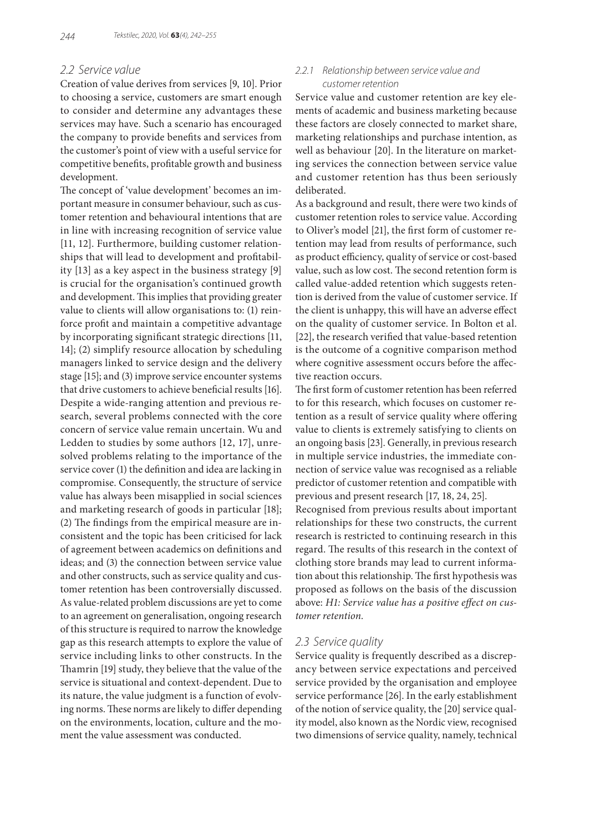### *2.2 Service value*

Creation of value derives from services [9, 10]. Prior to choosing a service, customers are smart enough to consider and determine any advantages these services may have. Such a scenario has encouraged the company to provide benefits and services from the customer's point of view with a useful service for competitive benefits, profitable growth and business development.

The concept of 'value development' becomes an important measure in consumer behaviour, such as customer retention and behavioural intentions that are in line with increasing recognition of service value [11, 12]. Furthermore, building customer relationships that will lead to development and profitability [13] as a key aspect in the business strategy [9] is crucial for the organisation's continued growth and development. This implies that providing greater value to clients will allow organisations to: (1) reinforce profit and maintain a competitive advantage by incorporating significant strategic directions [11, 14]; (2) simplify resource allocation by scheduling managers linked to service design and the delivery stage [15]; and (3) improve service encounter systems that drive customers to achieve beneficial results [16]. Despite a wide-ranging attention and previous research, several problems connected with the core concern of service value remain uncertain. Wu and Ledden to studies by some authors [12, 17], unresolved problems relating to the importance of the service cover (1) the definition and idea are lacking in compromise. Consequently, the structure of service value has always been misapplied in social sciences and marketing research of goods in particular [18]; (2) The findings from the empirical measure are inconsistent and the topic has been criticised for lack of agreement between academics on definitions and ideas; and (3) the connection between service value and other constructs, such as service quality and customer retention has been controversially discussed. As value-related problem discussions are yet to come to an agreement on generalisation, ongoing research of this structure is required to narrow the knowledge gap as this research attempts to explore the value of service including links to other constructs. In the Thamrin [19] study, they believe that the value of the service is situational and context-dependent. Due to its nature, the value judgment is a function of evolving norms. These norms are likely to differ depending on the environments, location, culture and the moment the value assessment was conducted.

### *2.2.1 Relationship between service value and customer retention*

Service value and customer retention are key elements of academic and business marketing because these factors are closely connected to market share, marketing relationships and purchase intention, as well as behaviour [20]. In the literature on marketing services the connection between service value and customer retention has thus been seriously deliberated.

As a background and result, there were two kinds of customer retention roles to service value. According to Oliver's model [21], the first form of customer retention may lead from results of performance, such as product efficiency, quality of service or cost-based value, such as low cost. The second retention form is called value-added retention which suggests retention is derived from the value of customer service. If the client is unhappy, this will have an adverse effect on the quality of customer service. In Bolton et al. [22], the research verified that value-based retention is the outcome of a cognitive comparison method where cognitive assessment occurs before the affective reaction occurs.

The first form of customer retention has been referred to for this research, which focuses on customer retention as a result of service quality where offering value to clients is extremely satisfying to clients on an ongoing basis [23]. Generally, in previous research in multiple service industries, the immediate connection of service value was recognised as a reliable predictor of customer retention and compatible with previous and present research [17, 18, 24, 25].

Recognised from previous results about important relationships for these two constructs, the current research is restricted to continuing research in this regard. The results of this research in the context of clothing store brands may lead to current information about this relationship. The first hypothesis was proposed as follows on the basis of the discussion above: *H1: Service value has a positive effect on customer retention.*

#### *2.3 Service quality*

Service quality is frequently described as a discrepancy between service expectations and perceived service provided by the organisation and employee service performance [26]. In the early establishment of the notion of service quality, the [20] service quality model, also known as the Nordic view, recognised two dimensions of service quality, namely, technical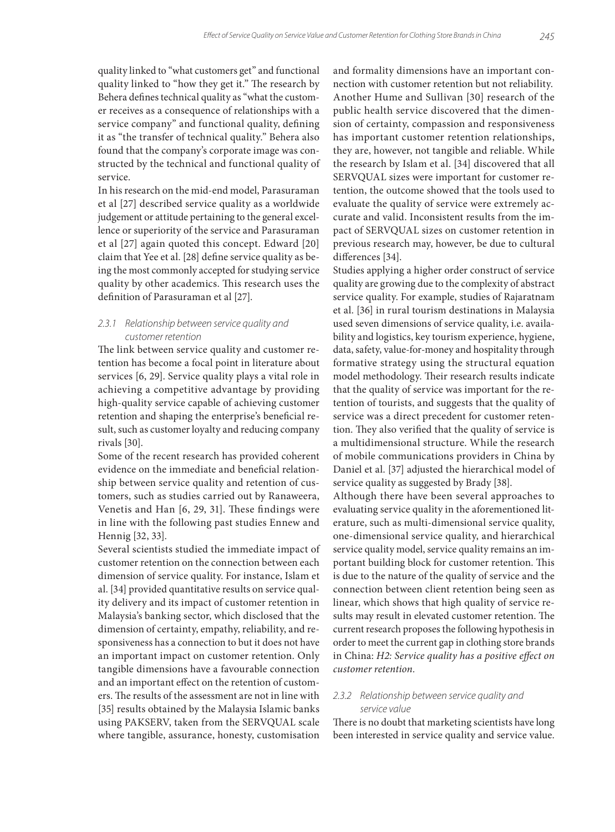quality linked to "what customers get" and functional quality linked to "how they get it." The research by Behera defines technical quality as "what the customer receives as a consequence of relationships with a service company" and functional quality, defining it as "the transfer of technical quality." Behera also found that the company's corporate image was constructed by the technical and functional quality of service.

In his research on the mid-end model, Parasuraman et al [27] described service quality as a worldwide judgement or attitude pertaining to the general excellence or superiority of the service and Parasuraman et al [27] again quoted this concept. Edward [20] claim that Yee et al. [28] define service quality as being the most commonly accepted for studying service quality by other academics. This research uses the definition of Parasuraman et al [27].

#### *2.3.1 Relationship between service quality and customer retention*

The link between service quality and customer retention has become a focal point in literature about services [6, 29]. Service quality plays a vital role in achieving a competitive advantage by providing high-quality service capable of achieving customer retention and shaping the enterprise's beneficial result, such as customer loyalty and reducing company rivals [30].

Some of the recent research has provided coherent evidence on the immediate and beneficial relationship between service quality and retention of customers, such as studies carried out by Ranaweera, Venetis and Han [6, 29, 31]. These findings were in line with the following past studies Ennew and Hennig [32, 33].

Several scientists studied the immediate impact of customer retention on the connection between each dimension of service quality. For instance, Islam et al. [34] provided quantitative results on service quality delivery and its impact of customer retention in Malaysia's banking sector, which disclosed that the dimension of certainty, empathy, reliability, and responsiveness has a connection to but it does not have an important impact on customer retention. Only tangible dimensions have a favourable connection and an important effect on the retention of customers. The results of the assessment are not in line with [35] results obtained by the Malaysia Islamic banks using PAKSERV, taken from the SERVQUAL scale where tangible, assurance, honesty, customisation

and formality dimensions have an important connection with customer retention but not reliability. Another Hume and Sullivan [30] research of the public health service discovered that the dimension of certainty, compassion and responsiveness has important customer retention relationships, they are, however, not tangible and reliable. While the research by Islam et al. [34] discovered that all SERVQUAL sizes were important for customer retention, the outcome showed that the tools used to evaluate the quality of service were extremely accurate and valid. Inconsistent results from the impact of SERVQUAL sizes on customer retention in previous research may, however, be due to cultural differences [34].

Studies applying a higher order construct of service quality are growing due to the complexity of abstract service quality. For example, studies of Rajaratnam et al. [36] in rural tourism destinations in Malaysia used seven dimensions of service quality, i.e. availability and logistics, key tourism experience, hygiene, data, safety, value-for-money and hospitality through formative strategy using the structural equation model methodology. Their research results indicate that the quality of service was important for the retention of tourists, and suggests that the quality of service was a direct precedent for customer retention. They also verified that the quality of service is a multidimensional structure. While the research of mobile communications providers in China by Daniel et al. [37] adjusted the hierarchical model of service quality as suggested by Brady [38].

Although there have been several approaches to evaluating service quality in the aforementioned literature, such as multi-dimensional service quality, one-dimensional service quality, and hierarchical service quality model, service quality remains an important building block for customer retention. This is due to the nature of the quality of service and the connection between client retention being seen as linear, which shows that high quality of service results may result in elevated customer retention. The current research proposes the following hypothesis in order to meet the current gap in clothing store brands in China: *H2: Service quality has a positive effect on customer retention.*

### *2.3.2 Relationship between service quality and service value*

There is no doubt that marketing scientists have long been interested in service quality and service value.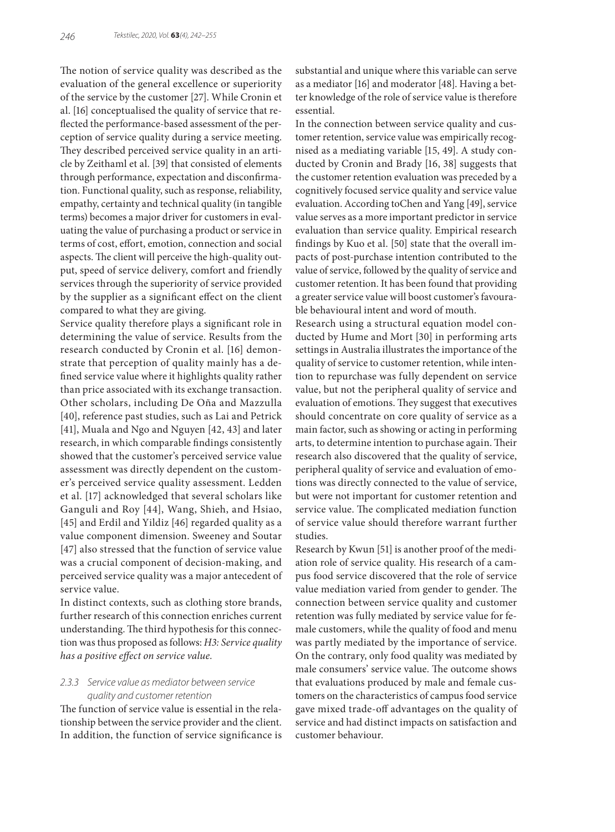The notion of service quality was described as the evaluation of the general excellence or superiority of the service by the customer [27]. While Cronin et al. [16] conceptualised the quality of service that reflected the performance-based assessment of the perception of service quality during a service meeting. They described perceived service quality in an article by Zeithaml et al. [39] that consisted of elements through performance, expectation and disconfirmation. Functional quality, such as response, reliability, empathy, certainty and technical quality (in tangible terms) becomes a major driver for customers in evaluating the value of purchasing a product or service in terms of cost, effort, emotion, connection and social aspects. The client will perceive the high-quality output, speed of service delivery, comfort and friendly services through the superiority of service provided by the supplier as a significant effect on the client compared to what they are giving.

Service quality therefore plays a significant role in determining the value of service. Results from the research conducted by Cronin et al. [16] demonstrate that perception of quality mainly has a defined service value where it highlights quality rather than price associated with its exchange transaction. Other scholars, including De Oña and Mazzulla [40], reference past studies, such as Lai and Petrick [41], Muala and Ngo and Nguyen [42, 43] and later research, in which comparable findings consistently showed that the customer's perceived service value assessment was directly dependent on the customer's perceived service quality assessment. Ledden et al. [17] acknowledged that several scholars like Ganguli and Roy [44], Wang, Shieh, and Hsiao, [45] and Erdil and Yildiz [46] regarded quality as a value component dimension. Sweeney and Soutar [47] also stressed that the function of service value was a crucial component of decision-making, and perceived service quality was a major antecedent of service value.

In distinct contexts, such as clothing store brands, further research of this connection enriches current understanding. The third hypothesis for this connection was thus proposed as follows: *H3: Service quality has a positive effect on service value.*

### *2.3.3 Service value as mediator between service quality and customer retention*

The function of service value is essential in the relationship between the service provider and the client. In addition, the function of service significance is substantial and unique where this variable can serve as a mediator [16] and moderator [48]. Having a better knowledge of the role of service value is therefore essential.

In the connection between service quality and customer retention, service value was empirically recognised as a mediating variable [15, 49]. A study conducted by Cronin and Brady [16, 38] suggests that the customer retention evaluation was preceded by a cognitively focused service quality and service value evaluation. According toChen and Yang [49], service value serves as a more important predictor in service evaluation than service quality. Empirical research findings by Kuo et al. [50] state that the overall impacts of post-purchase intention contributed to the value of service, followed by the quality of service and customer retention. It has been found that providing a greater service value will boost customer's favourable behavioural intent and word of mouth.

Research using a structural equation model conducted by Hume and Mort [30] in performing arts settings in Australia illustrates the importance of the quality of service to customer retention, while intention to repurchase was fully dependent on service value, but not the peripheral quality of service and evaluation of emotions. They suggest that executives should concentrate on core quality of service as a main factor, such as showing or acting in performing arts, to determine intention to purchase again. Their research also discovered that the quality of service, peripheral quality of service and evaluation of emotions was directly connected to the value of service, but were not important for customer retention and service value. The complicated mediation function of service value should therefore warrant further studies.

Research by Kwun [51] is another proof of the mediation role of service quality. His research of a campus food service discovered that the role of service value mediation varied from gender to gender. The connection between service quality and customer retention was fully mediated by service value for female customers, while the quality of food and menu was partly mediated by the importance of service. On the contrary, only food quality was mediated by male consumers' service value. The outcome shows that evaluations produced by male and female customers on the characteristics of campus food service gave mixed trade-off advantages on the quality of service and had distinct impacts on satisfaction and customer behaviour.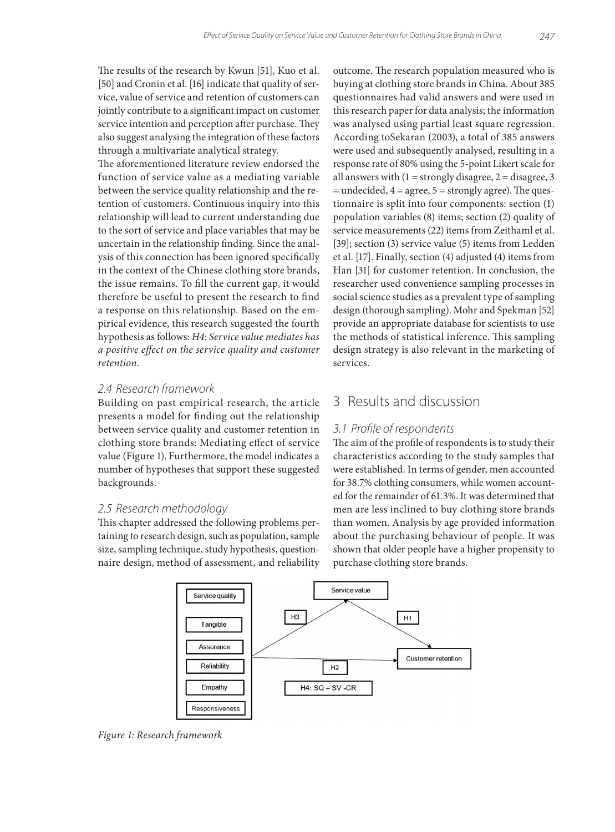The results of the research by Kwun [51], Kuo et al. [50] and Cronin et al. [16] indicate that quality of service, value of service and retention of customers can jointly contribute to a significant impact on customer service intention and perception after purchase. They also suggest analysing the integration of these factors through a multivariate analytical strategy.

The aforementioned literature review endorsed the function of service value as a mediating variable between the service quality relationship and the retention of customers. Continuous inquiry into this relationship will lead to current understanding due to the sort of service and place variables that may be uncertain in the relationship finding. Since the analysis of this connection has been ignored specifically in the context of the Chinese clothing store brands, the issue remains. To fill the current gap, it would therefore be useful to present the research to find a response on this relationship. Based on the empirical evidence, this research suggested the fourth hypothesis as follows: *H4: Service value mediates has a positive effect on the service quality and customer retention.*

### *2.4 Research framework*

Building on past empirical research, the article presents a model for finding out the relationship between service quality and customer retention in clothing store brands: Mediating effect of service value (Figure 1). Furthermore, the model indicates a number of hypotheses that support these suggested backgrounds.

#### *2.5 Research methodology*

This chapter addressed the following problems pertaining to research design, such as population, sample size, sampling technique, study hypothesis, questionnaire design, method of assessment, and reliability outcome. The research population measured who is buying at clothing store brands in China. About 385 questionnaires had valid answers and were used in this research paper for data analysis; the information was analysed using partial least square regression. According toSekaran (2003), a total of 385 answers were used and subsequently analysed, resulting in a response rate of 80% using the 5-point Likert scale for all answers with  $(1 =$  strongly disagree,  $2 =$  disagree, 3  $=$  undecided,  $4 =$  agree,  $5 =$  strongly agree). The questionnaire is split into four components: section (1) population variables (8) items; section (2) quality of service measurements (22) items from Zeithaml et al. [39]; section (3) service value (5) items from Ledden et al. [17]. Finally, section (4) adjusted (4) items from Han [31] for customer retention. In conclusion, the researcher used convenience sampling processes in social science studies as a prevalent type of sampling design (thorough sampling). Mohr and Spekman [52] provide an appropriate database for scientists to use the methods of statistical inference. This sampling design strategy is also relevant in the marketing of services.

# 3 Results and discussion

### *3.1 Profile of respondents*

The aim of the profile of respondents is to study their characteristics according to the study samples that were established. In terms of gender, men accounted for 38.7% clothing consumers, while women accounted for the remainder of 61.3%. It was determined that men are less inclined to buy clothing store brands than women. Analysis by age provided information about the purchasing behaviour of people. It was shown that older people have a higher propensity to purchase clothing store brands.



*Figure 1: Research framework*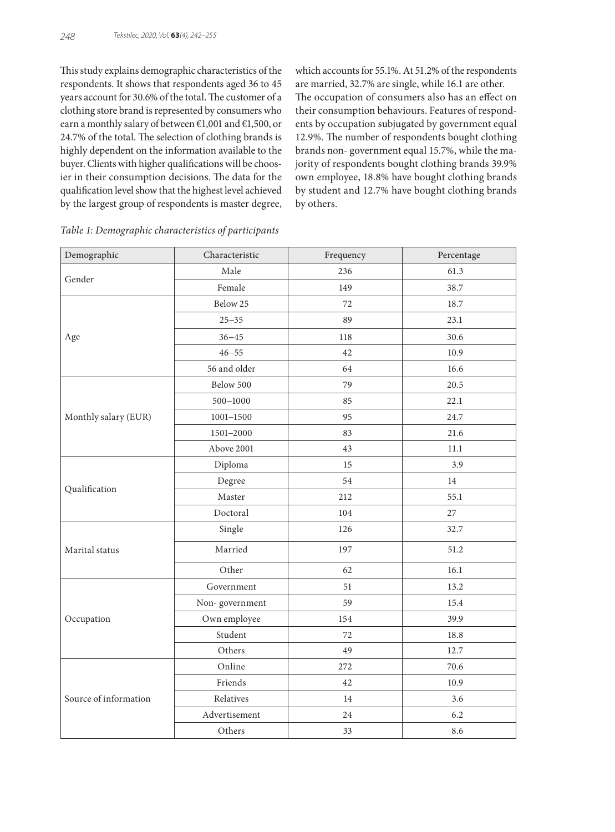This study explains demographic characteristics of the respondents. It shows that respondents aged 36 to 45 years account for 30.6% of the total. The customer of a clothing store brand is represented by consumers who earn a monthly salary of between €1,001 and €1,500, or 24.7% of the total. The selection of clothing brands is highly dependent on the information available to the buyer. Clients with higher qualifications will be choosier in their consumption decisions. The data for the qualification level show that the highest level achieved by the largest group of respondents is master degree, which accounts for 55.1%. At 51.2% of the respondents are married, 32.7% are single, while 16.1 are other. The occupation of consumers also has an effect on their consumption behaviours. Features of respondents by occupation subjugated by government equal 12.9%. The number of respondents bought clothing brands non- government equal 15.7%, while the majority of respondents bought clothing brands 39.9% own employee, 18.8% have bought clothing brands by student and 12.7% have bought clothing brands by others.

| Demographic           | Characteristic | Frequency | Percentage |  |
|-----------------------|----------------|-----------|------------|--|
| Gender                | Male           | 236       | 61.3       |  |
|                       | Female<br>149  |           | 38.7       |  |
|                       | Below 25       | 72        | 18.7       |  |
|                       | $25 - 35$      | 89        | 23.1       |  |
| Age                   | $36 - 45$      | 118       | 30.6       |  |
|                       | $46 - 55$      | 42        | 10.9       |  |
|                       | 56 and older   | 64        | 16.6       |  |
|                       | Below 500      | 79        | 20.5       |  |
|                       | $500 - 1000$   | 85        | 22.1       |  |
| Monthly salary (EUR)  | $1001 - 1500$  | 95        | 24.7       |  |
|                       | 1501-2000      | 83        | 21.6       |  |
|                       | Above 2001     | 43        | 11.1       |  |
|                       | Diploma        | 15        | 3.9        |  |
|                       | Degree         | 54        | 14         |  |
| Qualification         | Master         | 212       | 55.1       |  |
|                       | Doctoral       | 104       | 27         |  |
|                       | Single         | 126       | 32.7       |  |
| Marital status        | Married        | 197       | 51.2       |  |
|                       | Other          | 62        | 16.1       |  |
|                       | Government     | 51        | 13.2       |  |
|                       | Non-government | 59        | 15.4       |  |
| Occupation            | Own employee   | 154       | 39.9       |  |
|                       | Student        | 72        | 18.8       |  |
|                       | Others         | 49        | 12.7       |  |
|                       | Online         | 272       | 70.6       |  |
|                       | Friends        | 42        | 10.9       |  |
| Source of information | Relatives      | 14        | 3.6        |  |
|                       | Advertisement  | 24        | 6.2        |  |
|                       | Others         | 33        | 8.6        |  |

|  |  |  |  |  | Table 1: Demographic characteristics of participants |
|--|--|--|--|--|------------------------------------------------------|
|--|--|--|--|--|------------------------------------------------------|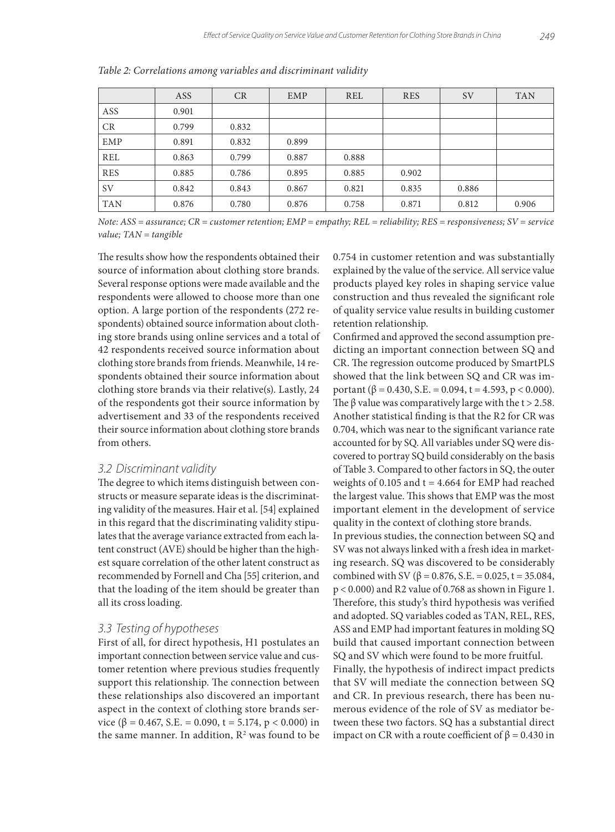|            | ASS   | <b>CR</b> | <b>EMP</b> | <b>REL</b> | <b>RES</b> | <b>SV</b> | <b>TAN</b> |
|------------|-------|-----------|------------|------------|------------|-----------|------------|
| ASS        | 0.901 |           |            |            |            |           |            |
| CR         | 0.799 | 0.832     |            |            |            |           |            |
| EMP        | 0.891 | 0.832     | 0.899      |            |            |           |            |
| <b>REL</b> | 0.863 | 0.799     | 0.887      | 0.888      |            |           |            |
| <b>RES</b> | 0.885 | 0.786     | 0.895      | 0.885      | 0.902      |           |            |
| <b>SV</b>  | 0.842 | 0.843     | 0.867      | 0.821      | 0.835      | 0.886     |            |
| <b>TAN</b> | 0.876 | 0.780     | 0.876      | 0.758      | 0.871      | 0.812     | 0.906      |

*Table 2: Correlations among variables and discriminant validity*

*Note: ASS = assurance; CR = customer retention; EMP = empathy; REL = reliability; RES = responsiveness; SV = service value; TAN = tangible*

The results show how the respondents obtained their source of information about clothing store brands. Several response options were made available and the respondents were allowed to choose more than one option. A large portion of the respondents (272 respondents) obtained source information about clothing store brands using online services and a total of 42 respondents received source information about clothing store brands from friends. Meanwhile, 14 respondents obtained their source information about clothing store brands via their relative(s). Lastly, 24 of the respondents got their source information by advertisement and 33 of the respondents received their source information about clothing store brands from others.

#### *3.2 Discriminant validity*

The degree to which items distinguish between constructs or measure separate ideas is the discriminating validity of the measures. Hair et al. [54] explained in this regard that the discriminating validity stipulates that the average variance extracted from each latent construct (AVE) should be higher than the highest square correlation of the other latent construct as recommended by Fornell and Cha [55] criterion, and that the loading of the item should be greater than all its cross loading.

#### *3.3 Testing of hypotheses*

First of all, for direct hypothesis, H1 postulates an important connection between service value and customer retention where previous studies frequently support this relationship. The connection between these relationships also discovered an important aspect in the context of clothing store brands service ( $\beta$  = 0.467, S.E. = 0.090, t = 5.174, p < 0.000) in the same manner. In addition,  $R^2$  was found to be 0.754 in customer retention and was substantially explained by the value of the service. All service value products played key roles in shaping service value construction and thus revealed the significant role of quality service value results in building customer retention relationship.

Confirmed and approved the second assumption predicting an important connection between SQ and CR. The regression outcome produced by SmartPLS showed that the link between SQ and CR was important ( $\beta$  = 0.430, S.E. = 0.094, t = 4.593, p < 0.000). The  $\beta$  value was comparatively large with the t > 2.58. Another statistical finding is that the R2 for CR was 0.704, which was near to the significant variance rate accounted for by SQ. All variables under SQ were discovered to portray SQ build considerably on the basis of Table 3. Compared to other factors in SQ, the outer weights of 0.105 and  $t = 4.664$  for EMP had reached the largest value. This shows that EMP was the most important element in the development of service quality in the context of clothing store brands.

In previous studies, the connection between SQ and SV was not always linked with a fresh idea in marketing research. SQ was discovered to be considerably combined with SV (β = 0.876, S.E. = 0.025, t = 35.084, p < 0.000) and R2 value of 0.768 as shown in Figure 1. Therefore, this study's third hypothesis was verified and adopted. SQ variables coded as TAN, REL, RES, ASS and EMP had important features in molding SQ build that caused important connection between SQ and SV which were found to be more fruitful. Finally, the hypothesis of indirect impact predicts that SV will mediate the connection between SQ and CR. In previous research, there has been numerous evidence of the role of SV as mediator between these two factors. SQ has a substantial direct impact on CR with a route coefficient of  $β = 0.430$  in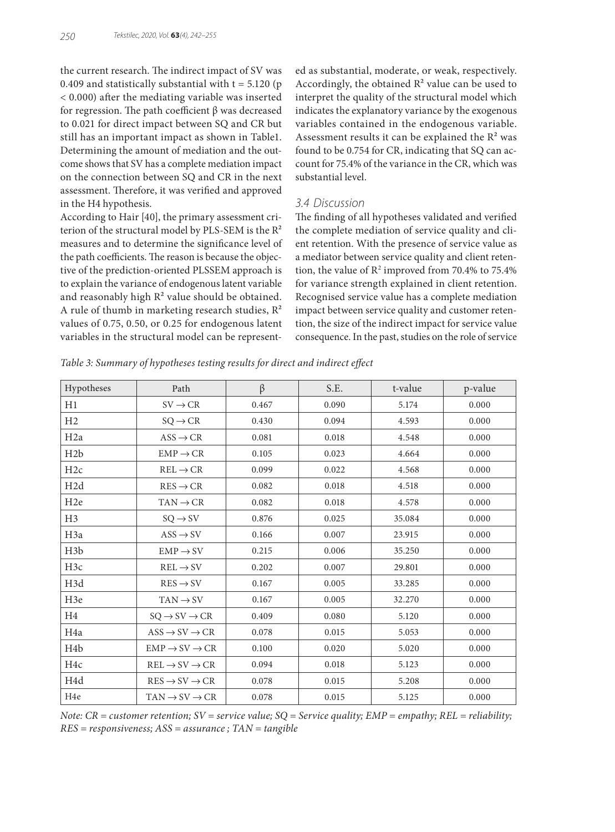the current research. The indirect impact of SV was 0.409 and statistically substantial with  $t = 5.120$  (p < 0.000) after the mediating variable was inserted for regression. The path coefficient β was decreased to 0.021 for direct impact between SQ and CR but still has an important impact as shown in Table1. Determining the amount of mediation and the outcome shows that SV has a complete mediation impact on the connection between SQ and CR in the next assessment. Therefore, it was verified and approved in the H4 hypothesis.

According to Hair [40], the primary assessment criterion of the structural model by PLS-SEM is the R² measures and to determine the significance level of the path coefficients. The reason is because the objective of the prediction-oriented PLSSEM approach is to explain the variance of endogenous latent variable and reasonably high  $R<sup>2</sup>$  value should be obtained. A rule of thumb in marketing research studies,  $R^2$ values of 0.75, 0.50, or 0.25 for endogenous latent variables in the structural model can be represented as substantial, moderate, or weak, respectively. Accordingly, the obtained  $R<sup>2</sup>$  value can be used to interpret the quality of the structural model which indicates the explanatory variance by the exogenous variables contained in the endogenous variable. Assessment results it can be explained the  $R<sup>2</sup>$  was found to be 0.754 for CR, indicating that SQ can account for 75.4% of the variance in the CR, which was substantial level.

#### *3.4 Discussion*

The finding of all hypotheses validated and verified the complete mediation of service quality and client retention. With the presence of service value as a mediator between service quality and client retention, the value of  $\mathbb{R}^2$  improved from 70.4% to 75.4% for variance strength explained in client retention. Recognised service value has a complete mediation impact between service quality and customer retention, the size of the indirect impact for service value consequence. In the past, studies on the role of service

*Table 3: Summary of hypotheses testing results for direct and indirect effect*

| Hypotheses       | Path                                                     | $\beta$ | S.E.  | t-value | p-value |
|------------------|----------------------------------------------------------|---------|-------|---------|---------|
| H1               | $SV \rightarrow CR$                                      | 0.467   | 0.090 | 5.174   | 0.000   |
| H <sub>2</sub>   | $SQ \rightarrow CR$                                      | 0.430   | 0.094 | 4.593   | 0.000   |
| H <sub>2</sub> a | $ASS \rightarrow CR$                                     | 0.081   | 0.018 | 4.548   | 0.000   |
| H2b              | $EMP \rightarrow CR$                                     | 0.105   | 0.023 | 4.664   | 0.000   |
| H2c              | $REL \rightarrow CR$                                     | 0.099   | 0.022 | 4.568   | 0.000   |
| H <sub>2</sub> d | $RES \rightarrow CR$                                     | 0.082   | 0.018 | 4.518   | 0.000   |
| H <sub>2</sub> e | $TAN \rightarrow CR$                                     | 0.082   | 0.018 | 4.578   | 0.000   |
| H <sub>3</sub>   | $SQ \rightarrow SV$                                      | 0.876   | 0.025 | 35.084  | 0.000   |
| H <sub>3</sub> a | $ASS \rightarrow SV$                                     | 0.166   | 0.007 | 23.915  | 0.000   |
| H <sub>3</sub> b | $EMP \rightarrow SV$                                     | 0.215   | 0.006 | 35.250  | 0.000   |
| H <sub>3c</sub>  | $REL \rightarrow SV$                                     | 0.202   | 0.007 | 29.801  | 0.000   |
| H3d              | $RES \rightarrow SV$                                     | 0.167   | 0.005 | 33.285  | 0.000   |
| H <sub>3e</sub>  | $TAN \rightarrow SV$                                     | 0.167   | 0.005 | 32.270  | 0.000   |
| H <sub>4</sub>   | $SQ \rightarrow SV \rightarrow CR$                       | 0.409   | 0.080 | 5.120   | 0.000   |
| H <sub>4</sub> a | $\text{ASS} \rightarrow \text{SV} \rightarrow \text{CR}$ | 0.078   | 0.015 | 5.053   | 0.000   |
| H <sub>4</sub> b | $EMP \rightarrow SV \rightarrow CR$                      | 0.100   | 0.020 | 5.020   | 0.000   |
| H <sub>4c</sub>  | $REL \rightarrow SV \rightarrow CR$                      | 0.094   | 0.018 | 5.123   | 0.000   |
| H4d              | $RES \rightarrow SV \rightarrow CR$                      | 0.078   | 0.015 | 5.208   | 0.000   |
| H <sub>4e</sub>  | $TAN \rightarrow SV \rightarrow CR$                      | 0.078   | 0.015 | 5.125   | 0.000   |

*Note: CR = customer retention; SV = service value; SQ = Service quality; EMP = empathy; REL = reliability; RES = responsiveness; ASS = assurance ; TAN = tangible*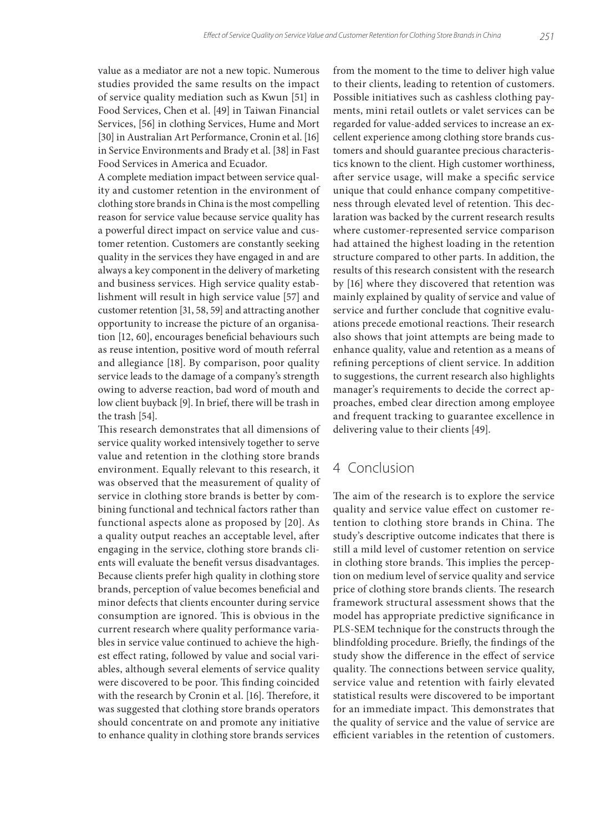value as a mediator are not a new topic. Numerous studies provided the same results on the impact of service quality mediation such as Kwun [51] in Food Services, Chen et al. [49] in Taiwan Financial Services, [56] in clothing Services, Hume and Mort [30] in Australian Art Performance, Cronin et al. [16] in Service Environments and Brady et al. [38] in Fast Food Services in America and Ecuador.

A complete mediation impact between service quality and customer retention in the environment of clothing store brands in China is the most compelling reason for service value because service quality has a powerful direct impact on service value and customer retention. Customers are constantly seeking quality in the services they have engaged in and are always a key component in the delivery of marketing and business services. High service quality establishment will result in high service value [57] and customer retention [31, 58, 59] and attracting another opportunity to increase the picture of an organisation [12, 60], encourages beneficial behaviours such as reuse intention, positive word of mouth referral and allegiance [18]. By comparison, poor quality service leads to the damage of a company's strength owing to adverse reaction, bad word of mouth and low client buyback [9]. In brief, there will be trash in the trash [54].

This research demonstrates that all dimensions of service quality worked intensively together to serve value and retention in the clothing store brands environment. Equally relevant to this research, it was observed that the measurement of quality of service in clothing store brands is better by combining functional and technical factors rather than functional aspects alone as proposed by [20]. As a quality output reaches an acceptable level, after engaging in the service, clothing store brands clients will evaluate the benefit versus disadvantages. Because clients prefer high quality in clothing store brands, perception of value becomes beneficial and minor defects that clients encounter during service consumption are ignored. This is obvious in the current research where quality performance variables in service value continued to achieve the highest effect rating, followed by value and social variables, although several elements of service quality were discovered to be poor. This finding coincided with the research by Cronin et al. [16]. Therefore, it was suggested that clothing store brands operators should concentrate on and promote any initiative to enhance quality in clothing store brands services

from the moment to the time to deliver high value to their clients, leading to retention of customers. Possible initiatives such as cashless clothing payments, mini retail outlets or valet services can be regarded for value-added services to increase an excellent experience among clothing store brands customers and should guarantee precious characteristics known to the client. High customer worthiness, after service usage, will make a specific service unique that could enhance company competitiveness through elevated level of retention. This declaration was backed by the current research results where customer-represented service comparison had attained the highest loading in the retention structure compared to other parts. In addition, the results of this research consistent with the research by [16] where they discovered that retention was mainly explained by quality of service and value of service and further conclude that cognitive evaluations precede emotional reactions. Their research also shows that joint attempts are being made to enhance quality, value and retention as a means of refining perceptions of client service. In addition to suggestions, the current research also highlights manager's requirements to decide the correct approaches, embed clear direction among employee and frequent tracking to guarantee excellence in delivering value to their clients [49].

### 4 Conclusion

The aim of the research is to explore the service quality and service value effect on customer retention to clothing store brands in China. The study's descriptive outcome indicates that there is still a mild level of customer retention on service in clothing store brands. This implies the perception on medium level of service quality and service price of clothing store brands clients. The research framework structural assessment shows that the model has appropriate predictive significance in PLS-SEM technique for the constructs through the blindfolding procedure. Briefly, the findings of the study show the difference in the effect of service quality. The connections between service quality, service value and retention with fairly elevated statistical results were discovered to be important for an immediate impact. This demonstrates that the quality of service and the value of service are efficient variables in the retention of customers.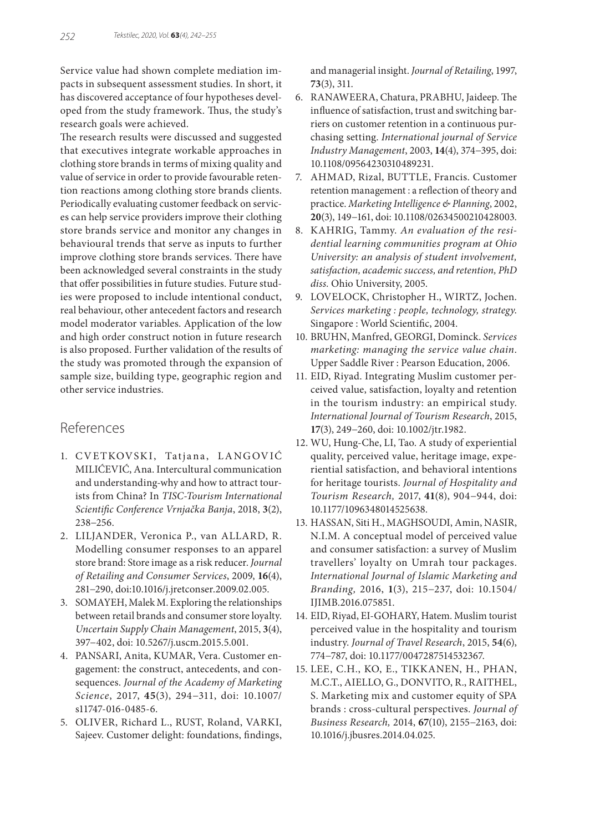Service value had shown complete mediation impacts in subsequent assessment studies. In short, it has discovered acceptance of four hypotheses developed from the study framework. Thus, the study's research goals were achieved.

The research results were discussed and suggested that executives integrate workable approaches in clothing store brands in terms of mixing quality and value of service in order to provide favourable retention reactions among clothing store brands clients. Periodically evaluating customer feedback on services can help service providers improve their clothing store brands service and monitor any changes in behavioural trends that serve as inputs to further improve clothing store brands services. There have been acknowledged several constraints in the study that offer possibilities in future studies. Future studies were proposed to include intentional conduct, real behaviour, other antecedent factors and research model moderator variables. Application of the low and high order construct notion in future research is also proposed. Further validation of the results of the study was promoted through the expansion of sample size, building type, geographic region and other service industries.

# References

- 1. CVETKOVSKI, Tatjana, LANGOVIĆ MILIĆEVIĆ, Ana. Intercultural communication and understanding-why and how to attract tourists from China? In *TISC-Tourism International Scientific Conference Vrnjačka Banja*, 2018, **3**(2), 238−256.
- 2. LILJANDER, Veronica P., van ALLARD, R. Modelling consumer responses to an apparel store brand: Store image as a risk reducer. *Journal of Retailing and Consumer Services*, 2009, **16**(4), 281−290, doi:10.1016/j.jretconser.2009.02.005.
- 3. SOMAYEH, Malek M. Exploring the relationships between retail brands and consumer store loyalty. *Uncertain Supply Chain Management*, 2015, **3**(4), 397−402, doi: 10.5267/j.uscm.2015.5.001.
- 4. PANSARI, Anita, KUMAR, Vera. Customer engagement: the construct, antecedents, and consequences. *Journal of the Academy of Marketing Science*, 2017, **45**(3), 294−311, doi: 10.1007/ s11747-016-0485-6.
- 5. OLIVER, Richard L., RUST, Roland, VARKI, Sajeev. Customer delight: foundations, findings,

and managerial insight. *Journal of Retailing*, 1997, **73**(3), 311.

- 6. RANAWEERA, Chatura, PRABHU, Jaideep. The influence of satisfaction, trust and switching barriers on customer retention in a continuous purchasing setting. *International journal of Service Industry Management*, 2003, **14**(4), 374−395, doi: 10.1108/09564230310489231.
- 7. AHMAD, Rizal, BUTTLE, Francis. Customer retention management : a reflection of theory and practice. *Marketing Intelligence & Planning*, 2002, **20**(3), 149−161, doi: 10.1108/02634500210428003.
- 8. KAHRIG, Tammy. *An evaluation of the residential learning communities program at Ohio University: an analysis of student involvement, satisfaction, academic success, and retention, PhD diss.* Ohio University, 2005.
- 9. LOVELOCK, Christopher H., WIRTZ, Jochen. *Services marketing : people, technology, strategy*. Singapore : World Scientific, 2004.
- 10. BRUHN, Manfred, GEORGI, Dominck. *Services marketing: managing the service value chain*. Upper Saddle River : Pearson Education, 2006.
- 11. EID, Riyad. Integrating Muslim customer perceived value, satisfaction, loyalty and retention in the tourism industry: an empirical study. *International Journal of Tourism Research*, 2015, **17**(3), 249−260, doi: 10.1002/jtr.1982.
- 12. WU, Hung-Che, LI, Tao. A study of experiential quality, perceived value, heritage image, experiential satisfaction, and behavioral intentions for heritage tourists. *Journal of Hospitality and Tourism Research,* 2017, **41**(8), 904−944, doi: 10.1177/1096348014525638.
- 13. HASSAN, Siti H., MAGHSOUDI, Amin, NASIR, N.I.M. A conceptual model of perceived value and consumer satisfaction: a survey of Muslim travellers' loyalty on Umrah tour packages. *International Journal of Islamic Marketing and Branding,* 2016, **1**(3), 215−237, doi: 10.1504/ IJIMB.2016.075851.
- 14. EID, Riyad, EI-GOHARY, Hatem. Muslim tourist perceived value in the hospitality and tourism industry. *Journal of Travel Research*, 2015, **54**(6), 774−787, doi: 10.1177/0047287514532367.
- 15. LEE, C.H., KO, E., TIKKANEN, H., PHAN, M.C.T., AIELLO, G., DONVITO, R., RAITHEL, S. Marketing mix and customer equity of SPA brands : cross-cultural perspectives. *Journal of Business Research,* 2014, **67**(10), 2155−2163, doi: 10.1016/j.jbusres.2014.04.025.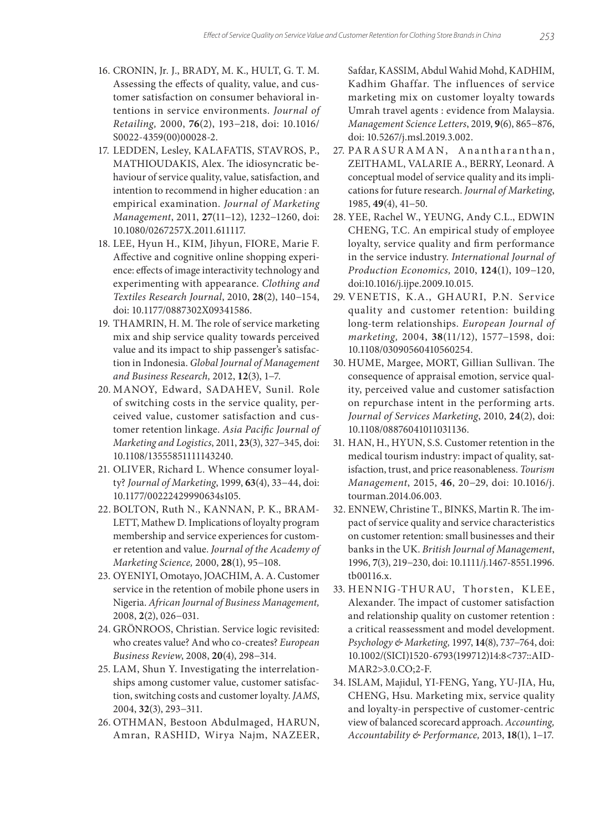- 16. CRONIN, Jr. J., BRADY, M. K., HULT, G. T. M. Assessing the effects of quality, value, and customer satisfaction on consumer behavioral intentions in service environments. *Journal of Retailing,* 2000, **76**(2), 193−218, doi: 10.1016/ S0022-4359(00)00028-2.
- 17. LEDDEN, Lesley, KALAFATIS, STAVROS, P., MATHIOUDAKIS, Alex. The idiosyncratic behaviour of service quality, value, satisfaction, and intention to recommend in higher education : an empirical examination. *Journal of Marketing Management*, 2011, **27**(11−12), 1232−1260, doi: 10.1080/0267257X.2011.611117.
- 18. LEE, Hyun H., KIM, Jihyun, FIORE, Marie F. Affective and cognitive online shopping experience: effects of image interactivity technology and experimenting with appearance. *Clothing and Textiles Research Journal*, 2010, **28**(2), 140−154, doi: 10.1177/0887302X09341586.
- 19. THAMRIN, H. M. The role of service marketing mix and ship service quality towards perceived value and its impact to ship passenger's satisfaction in Indonesia. *Global Journal of Management and Business Research,* 2012, **12**(3), 1−7.
- 20. MANOY, Edward, SADAHEV, Sunil. Role of switching costs in the service quality, perceived value, customer satisfaction and customer retention linkage. *Asia Pacific Journal of Marketing and Logistics*, 2011, **23**(3), 327−345, doi: 10.1108/13555851111143240.
- 21. OLIVER, Richard L. Whence consumer loyalty? *Journal of Marketing*, 1999, **63**(4), 33−44, doi: 10.1177/00222429990634s105.
- 22. BOLTON, Ruth N., KANNAN, P. K., BRAM-LETT, Mathew D. Implications of loyalty program membership and service experiences for customer retention and value. *Journal of the Academy of Marketing Science,* 2000, **28**(1), 95−108.
- 23. OYENIYI, Omotayo, JOACHIM, A. A. Customer service in the retention of mobile phone users in Nigeria. *African Journal of Business Management,*  2008, **2**(2), 026−031.
- 24. GRÖNROOS, Christian. Service logic revisited: who creates value? And who co‐creates? *European Business Review*, 2008, **20**(4), 298−314.
- 25. LAM, Shun Y. Investigating the interrelationships among customer value, customer satisfaction, switching costs and customer loyalty. *JAMS*, 2004, **32**(3), 293−311.
- 26. OTHMAN, Bestoon Abdulmaged, HARUN, Amran, RASHID, Wirya Najm, NAZEER,

Safdar, KASSIM, Abdul Wahid Mohd, KADHIM, Kadhim Ghaffar. The influences of service marketing mix on customer loyalty towards Umrah travel agents : evidence from Malaysia. *Management Science Letters*, 2019, **9**(6), 865−876, doi: 10.5267/j.msl.2019.3.002.

- 27. PARASURAMAN, Anantharanthan, ZEITHAML, VALARIE A., BERRY, Leonard. A conceptual model of service quality and its implications for future research. *Journal of Marketing*, 1985, **49**(4), 41−50.
- 28. YEE, Rachel W., YEUNG, Andy C.L., EDWIN CHENG, T.C. An empirical study of employee loyalty, service quality and firm performance in the service industry. *International Journal of Production Economics,* 2010, **124**(1), 109−120, doi:10.1016/j.ijpe.2009.10.015.
- 29. VENETIS, K.A., GHAURI, P.N. Service quality and customer retention: building long‐term relationships. *European Journal of marketing,* 2004, **38**(11/12), 1577−1598, doi: 10.1108/03090560410560254.
- 30. HUME, Margee, MORT, Gillian Sullivan. The consequence of appraisal emotion, service quality, perceived value and customer satisfaction on repurchase intent in the performing arts. *Journal of Services Marketing*, 2010, **24**(2), doi: 10.1108/08876041011031136.
- 31. HAN, H., HYUN, S.S. Customer retention in the medical tourism industry: impact of quality, satisfaction, trust, and price reasonableness. *Tourism Management*, 2015, **46**, 20−29, doi: 10.1016/j. tourman.2014.06.003.
- 32. ENNEW, Christine T., BINKS, Martin R. The impact of service quality and service characteristics on customer retention: small businesses and their banks in the UK. *British Journal of Management*, 1996, **7**(3), 219−230, doi: 10.1111/j.1467-8551.1996. tb00116.x.
- 33. HENNIG-THURAU, Thorsten, KLEE, Alexander. The impact of customer satisfaction and relationship quality on customer retention : a critical reassessment and model development. *Psychology & Marketing,* 1997, **14**(8), 737−764, doi: 10.1002/(SICI)1520-6793(199712)14:8<737::AID-MAR2>3.0.CO;2-F.
- 34. ISLAM, Majidul, YI-FENG, Yang, YU-JIA, Hu, CHENG, Hsu. Marketing mix, service quality and loyalty-in perspective of customer-centric view of balanced scorecard approach. *Accounting, Accountability & Performance,* 2013, **18**(1), 1−17.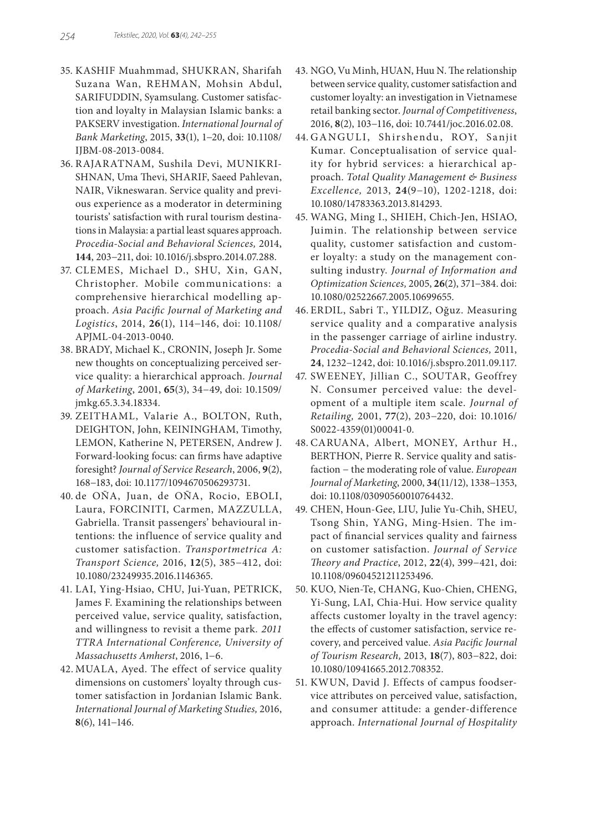- 35. KASHIF Muahmmad, SHUKRAN, Sharifah Suzana Wan, REHMAN, Mohsin Abdul, SARIFUDDIN, Syamsulang. Customer satisfaction and loyalty in Malaysian Islamic banks: a PAKSERV investigation. *International Journal of Bank Marketing*, 2015, **33**(1), 1−20, doi: 10.1108/ IJBM-08-2013-0084.
- 36. RAJARATNAM, Sushila Devi, MUNIKRI-SHNAN, Uma Thevi, SHARIF, Saeed Pahlevan, NAIR, Vikneswaran. Service quality and previous experience as a moderator in determining tourists' satisfaction with rural tourism destinations in Malaysia: a partial least squares approach. *Procedia-Social and Behavioral Sciences,* 2014, **144**, 203−211, doi: 10.1016/j.sbspro.2014.07.288.
- 37. CLEMES, Michael D., SHU, Xin, GAN, Christopher. Mobile communications: a comprehensive hierarchical modelling approach. *Asia Pacific Journal of Marketing and Logistics*, 2014, **26**(1), 114−146, doi: 10.1108/ APJML-04-2013-0040.
- 38. BRADY, Michael K., CRONIN, Joseph Jr. Some new thoughts on conceptualizing perceived service quality: a hierarchical approach. *Journal of Marketing*, 2001, **65**(3), 34−49, doi: 10.1509/ jmkg.65.3.34.18334.
- 39. ZEITHAML, Valarie A., BOLTON, Ruth, DEIGHTON, John, KEININGHAM, Timothy, LEMON, Katherine N, PETERSEN, Andrew J. Forward-looking focus: can firms have adaptive foresight? *Journal of Service Research*, 2006, **9**(2), 168−183, doi: 10.1177/1094670506293731.
- 40. de OÑA, Juan, de OÑA, Rocio, EBOLI, Laura, FORCINITI, Carmen, MAZZULLA, Gabriella. Transit passengers' behavioural intentions: the influence of service quality and customer satisfaction. *Transportmetrica A: Transport Science,* 2016, **12**(5), 385−412, doi: 10.1080/23249935.2016.1146365.
- 41. LAI, Ying-Hsiao, CHU, Jui-Yuan, PETRICK, James F. Examining the relationships between perceived value, service quality, satisfaction, and willingness to revisit a theme park*. 2011 TTRA International Conference, University of Massachusetts Amherst*, 2016, 1−6.
- 42. MUALA, Ayed. The effect of service quality dimensions on customers' loyalty through customer satisfaction in Jordanian Islamic Bank. *International Journal of Marketing Studies,* 2016, **8**(6), 141−146.
- 43. NGO, Vu Minh, HUAN, Huu N. The relationship between service quality, customer satisfaction and customer loyalty: an investigation in Vietnamese retail banking sector. *Journal of Competitiveness*, 2016, **8**(2), 103−116, doi: 10.7441/joc.2016.02.08.
- 44. GANGULI, Shirshendu, ROY, Sanjit Kumar. Conceptualisation of service quality for hybrid services: a hierarchical approach. *Total Quality Management & Business Excellence,* 2013, **24**(9−10), 1202-1218, doi: 10.1080/14783363.2013.814293.
- 45. WANG, Ming I., SHIEH, Chich-Jen, HSIAO, Juimin. The relationship between service quality, customer satisfaction and customer loyalty: a study on the management consulting industry. *Journal of Information and Optimization Sciences,* 2005, **26**(2), 371−384. doi: 10.1080/02522667.2005.10699655.
- 46. ERDIL, Sabri T., YILDIZ, Oğuz. Measuring service quality and a comparative analysis in the passenger carriage of airline industry. *Procedia-Social and Behavioral Sciences,* 2011, **24**, 1232−1242, doi: 10.1016/j.sbspro.2011.09.117.
- 47. SWEENEY, Jillian C., SOUTAR, Geoffrey N. Consumer perceived value: the development of a multiple item scale. *Journal of Retailing,* 2001, **77**(2), 203−220, doi: 10.1016/ S0022-4359(01)00041-0.
- 48. CARUANA, Albert, MONEY, Arthur H., BERTHON, Pierre R. Service quality and satisfaction − the moderating role of value. *European Journal of Marketing*, 2000, **34**(11/12), 1338−1353, doi: 10.1108/03090560010764432.
- 49. CHEN, Houn-Gee, LIU, Julie Yu-Chih, SHEU, Tsong Shin, YANG, Ming-Hsien. The impact of financial services quality and fairness on customer satisfaction. *Journal of Service Theory and Practice*, 2012, **22**(4), 399−421, doi: 10.1108/09604521211253496.
- 50. KUO, Nien-Te, CHANG, Kuo-Chien, CHENG, Yi-Sung, LAI, Chia-Hui. How service quality affects customer loyalty in the travel agency: the effects of customer satisfaction, service recovery, and perceived value. *Asia Pacific Journal of Tourism Research,* 2013, **18**(7), 803−822, doi: 10.1080/10941665.2012.708352.
- 51. KWUN, David J. Effects of campus foodservice attributes on perceived value, satisfaction, and consumer attitude: a gender-difference approach. *International Journal of Hospitality*